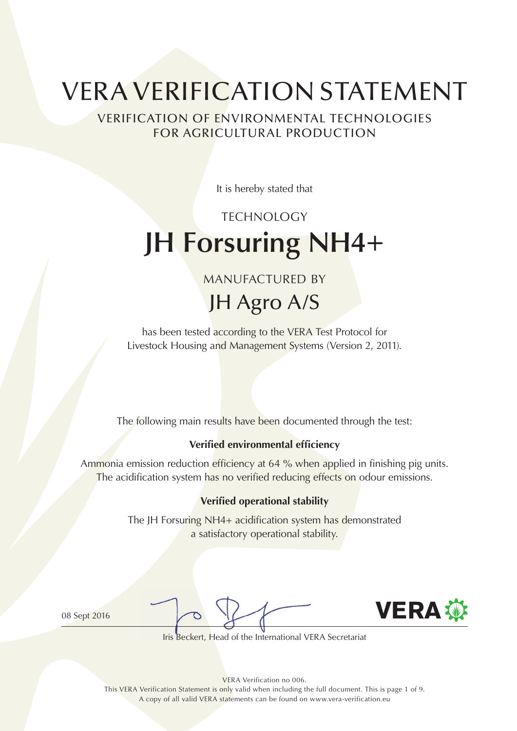# VERA VERIFICATION STATEMENT

VERIFICATION OF ENVIRONMENTAL TECHNOLOGIES FOR AGRICULTURAL PRODUCTION

It is hereby stated that

# TECHNOLOGY **JH Forsuring NH4+**

MANUFACTURED BY

JH Agro A/S

has been tested according to the VERA Test Protocol for Livestock Housing and Management Systems (Version 2, 2011).

The following main results have been documented through the test:

#### **Verified environmental efficiency**

Ammonia emission reduction efficiency at 64 % when applied in finishing pig units. The acidification system has no verified reducing effects on odour emissions.

#### **Verified operational stability**

The JH Forsuring NH4+ acidification system has demonstrated a satisfactory operational stability.

08 Sept 2016



Iris Beckert, Head of the International VERA Secretariat

VERA Verification no 006.

This VERA Verification Statement is only valid when including the full document. This is page 1 of 9. A copy of all valid VERA statements can be found on www.vera-verification.eu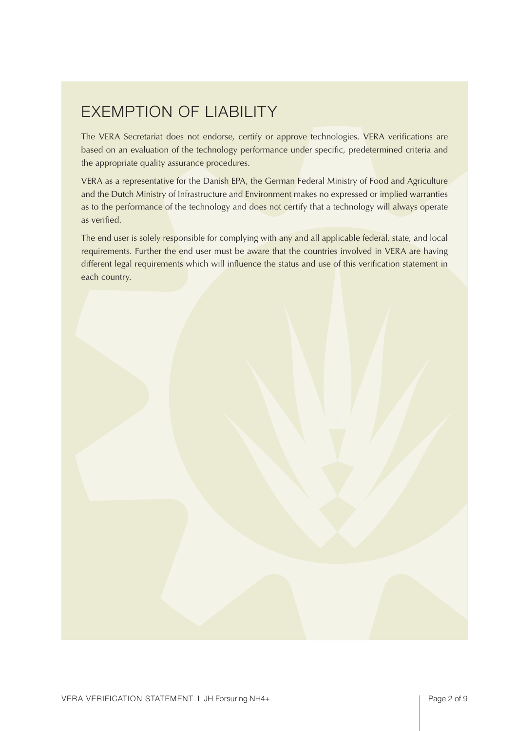### Exemption of liability

The VERA Secretariat does not endorse, certify or approve technologies. VERA verifications are based on an evaluation of the technology performance under specific, predetermined criteria and the appropriate quality assurance procedures.

VERA as a representative for the Danish EPA, the German Federal Ministry of Food and Agriculture and the Dutch Ministry of Infrastructure and Environment makes no expressed or implied warranties as to the performance of the technology and does not certify that a technology will always operate as verified.

The end user is solely responsible for complying with any and all applicable federal, state, and local requirements. Further the end user must be aware that the countries involved in VERA are having different legal requirements which will influence the status and use of this verification statement in each country.

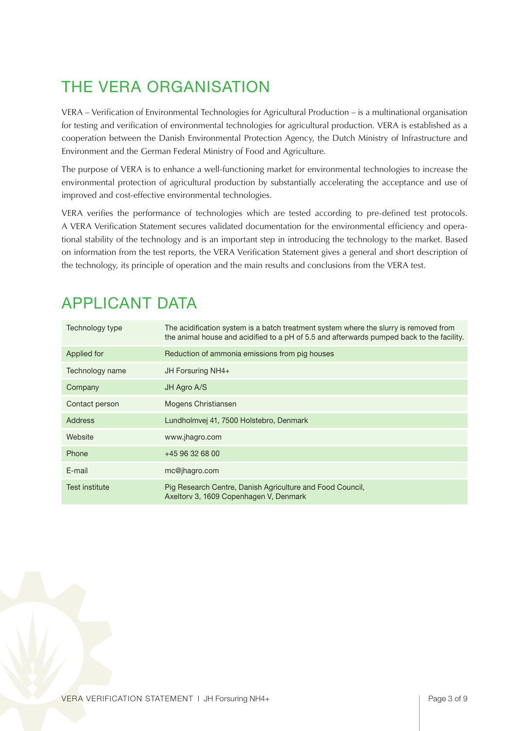# The VERA Organisation

VERA – Verification of Environmental Technologies for Agricultural Production – is a multinational organisation for testing and verification of environmental technologies for agricultural production. VERA is established as a cooperation between the Danish Environmental Protection Agency, the Dutch Ministry of Infrastructure and Environment and the German Federal Ministry of Food and Agriculture.

The purpose of VERA is to enhance a well-functioning market for environmental technologies to increase the environmental protection of agricultural production by substantially accelerating the acceptance and use of improved and cost-effective environmental technologies.

VERA verifies the performance of technologies which are tested according to pre-defined test protocols. A VERA Verification Statement secures validated documentation for the environmental efficiency and operational stability of the technology and is an important step in introducing the technology to the market. Based on information from the test reports, the VERA Verification Statement gives a general and short description of the technology, its principle of operation and the main results and conclusions from the VERA test.

| Technology type       | The acidification system is a batch treatment system where the slurry is removed from<br>the animal house and acidified to a pH of 5.5 and afterwards pumped back to the facility. |
|-----------------------|------------------------------------------------------------------------------------------------------------------------------------------------------------------------------------|
| Applied for           | Reduction of ammonia emissions from pig houses                                                                                                                                     |
| Technology name       | JH Forsuring NH4+                                                                                                                                                                  |
| Company               | JH Agro A/S                                                                                                                                                                        |
| Contact person        | Mogens Christiansen                                                                                                                                                                |
| Address               | Lundholmvej 41, 7500 Holstebro, Denmark                                                                                                                                            |
| Website               | www.jhagro.com                                                                                                                                                                     |
| Phone                 | $+4596326800$                                                                                                                                                                      |
| E-mail                | mc@jhagro.com                                                                                                                                                                      |
| <b>Test institute</b> | Pig Research Centre, Danish Agriculture and Food Council,<br>Axeltory 3, 1609 Copenhagen V, Denmark                                                                                |

### Applicant Data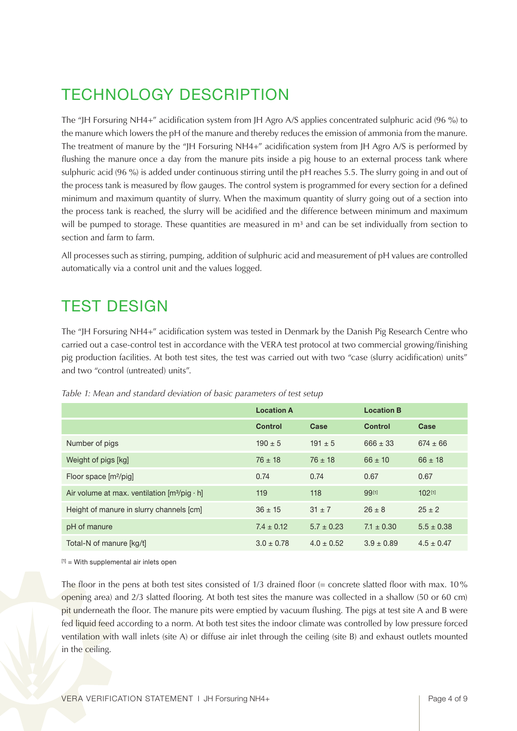### Technology Description

The "JH Forsuring NH4+" acidification system from JH Agro A/S applies concentrated sulphuric acid (96 %) to the manure which lowers the pH of the manure and thereby reduces the emission of ammonia from the manure. The treatment of manure by the "JH Forsuring NH4+" acidification system from JH Agro A/S is performed by flushing the manure once a day from the manure pits inside a pig house to an external process tank where sulphuric acid (96 %) is added under continuous stirring until the pH reaches 5.5. The slurry going in and out of the process tank is measured by flow gauges. The control system is programmed for every section for a defined minimum and maximum quantity of slurry. When the maximum quantity of slurry going out of a section into the process tank is reached, the slurry will be acidified and the difference between minimum and maximum will be pumped to storage. These quantities are measured in  $m<sup>3</sup>$  and can be set individually from section to section and farm to farm.

All processes such as stirring, pumping, addition of sulphuric acid and measurement of pH values are controlled automatically via a control unit and the values logged.

### Test Design

The "JH Forsuring NH4+" acidification system was tested in Denmark by the Danish Pig Research Centre who carried out a case-control test in accordance with the VERA test protocol at two commercial growing/finishing pig production facilities. At both test sites, the test was carried out with two "case (slurry acidification) units" and two "control (untreated) units".

|                                               | <b>Location A</b> |                | <b>Location B</b> |                |
|-----------------------------------------------|-------------------|----------------|-------------------|----------------|
|                                               | <b>Control</b>    | Case           | <b>Control</b>    | Case           |
| Number of pigs                                | $190 \pm 5$       | $191 \pm 5$    | $666 \pm 33$      | $674 \pm 66$   |
| Weight of pigs [kg]                           | $76 \pm 18$       | $76 \pm 18$    | $66 \pm 10$       | $66 \pm 18$    |
| Floor space $[m^2/p]$                         | 0.74              | 0.74           | 0.67              | 0.67           |
| Air volume at max. ventilation $[m^3/p]$ · h] | 119               | 118            | 99[1]             | 102[1]         |
| Height of manure in slurry channels [cm]      | $36 \pm 15$       | $31 \pm 7$     | $26 \pm 8$        | $25 \pm 2$     |
| pH of manure                                  | $7.4 \pm 0.12$    | $5.7 \pm 0.23$ | $7.1 \pm 0.30$    | $5.5 \pm 0.38$ |
| Total-N of manure [kg/t]                      | $3.0 \pm 0.78$    | $4.0 \pm 0.52$ | $3.9 \pm 0.89$    | $4.5 \pm 0.47$ |

*Table 1: Mean and standard deviation of basic parameters of test setup*

[1] = With supplemental air inlets open

The floor in the pens at both test sites consisted of 1/3 drained floor (= concrete slatted floor with max. 10% opening area) and 2/3 slatted flooring. At both test sites the manure was collected in a shallow (50 or 60 cm) pit underneath the floor. The manure pits were emptied by vacuum flushing. The pigs at test site A and B were fed liquid feed according to a norm. At both test sites the indoor climate was controlled by low pressure forced ventilation with wall inlets (site A) or diffuse air inlet through the ceiling (site B) and exhaust outlets mounted in the ceiling.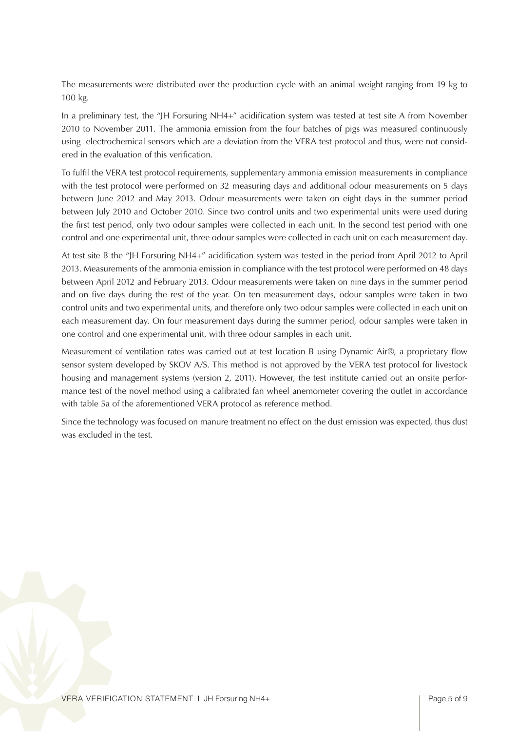The measurements were distributed over the production cycle with an animal weight ranging from 19 kg to 100 kg.

In a preliminary test, the "JH Forsuring NH4+" acidification system was tested at test site A from November 2010 to November 2011. The ammonia emission from the four batches of pigs was measured continuously using electrochemical sensors which are a deviation from the VERA test protocol and thus, were not considered in the evaluation of this verification.

To fulfil the VERA test protocol requirements, supplementary ammonia emission measurements in compliance with the test protocol were performed on 32 measuring days and additional odour measurements on 5 days between June 2012 and May 2013. Odour measurements were taken on eight days in the summer period between July 2010 and October 2010. Since two control units and two experimental units were used during the first test period, only two odour samples were collected in each unit. In the second test period with one control and one experimental unit, three odour samples were collected in each unit on each measurement day.

At test site B the "JH Forsuring NH4+" acidification system was tested in the period from April 2012 to April 2013. Measurements of the ammonia emission in compliance with the test protocol were performed on 48 days between April 2012 and February 2013. Odour measurements were taken on nine days in the summer period and on five days during the rest of the year. On ten measurement days, odour samples were taken in two control units and two experimental units, and therefore only two odour samples were collected in each unit on each measurement day. On four measurement days during the summer period, odour samples were taken in one control and one experimental unit, with three odour samples in each unit.

Measurement of ventilation rates was carried out at test location B using Dynamic Air®, a proprietary flow sensor system developed by SKOV A/S. This method is not approved by the VERA test protocol for livestock housing and management systems (version 2, 2011). However, the test institute carried out an onsite performance test of the novel method using a calibrated fan wheel anemometer covering the outlet in accordance with table 5a of the aforementioned VERA protocol as reference method.

Since the technology was focused on manure treatment no effect on the dust emission was expected, thus dust was excluded in the test.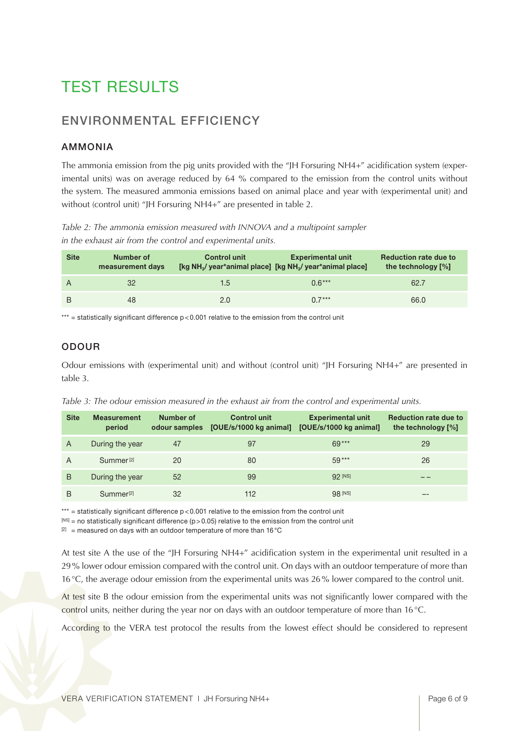### Test Results

### Environmental Efficiency

#### Ammonia

The ammonia emission from the pig units provided with the "JH Forsuring NH4+" acidification system (experimental units) was on average reduced by 64 % compared to the emission from the control units without the system. The measured ammonia emissions based on animal place and year with (experimental unit) and without (control unit) "JH Forsuring NH4+" are presented in table 2.

*Table 2: The ammonia emission measured with INNOVA and a multipoint sampler in the exhaust air from the control and experimental units.* 

| <b>Site</b> | Number of<br>measurement days | <b>Control unit</b> | <b>Experimental unit</b><br>[kg NH <sub>3</sub> / year*animal place] [kg NH <sub>3</sub> / year*animal place] | <b>Reduction rate due to</b><br>the technology [%] |
|-------------|-------------------------------|---------------------|---------------------------------------------------------------------------------------------------------------|----------------------------------------------------|
|             | 32                            | 1.5                 | $0.6***$                                                                                                      | 62.7                                               |
| B           | 48                            | 2.0                 | $0.7***$                                                                                                      | 66.0                                               |

\*\*\* = statistically significant difference  $p < 0.001$  relative to the emission from the control unit

#### **ODOUR**

Odour emissions with (experimental unit) and without (control unit) "JH Forsuring NH4+" are presented in table 3.

*Table 3: The odour emission measured in the exhaust air from the control and experimental units.* 

| <b>Site</b> | <b>Measurement</b><br>period | Number of<br>odour samples | Control unit<br>[OUE/s/1000 kg animal] | <b>Experimental unit</b><br>[OUE/s/1000 kg animal] | <b>Reduction rate due to</b><br>the technology $[\%]$ |
|-------------|------------------------------|----------------------------|----------------------------------------|----------------------------------------------------|-------------------------------------------------------|
| A           | During the year              | 47                         | 97                                     | $69***$                                            | 29                                                    |
| A           | Summer <sup>[2]</sup>        | 20                         | 80                                     | $59***$                                            | 26                                                    |
| B           | During the year              | 52                         | 99                                     | 92 [NS]                                            |                                                       |
| B           | Summer <sup>[2]</sup>        | 32                         | 112                                    | 98 [NS]                                            |                                                       |

\*\*\* = statistically significant difference  $p < 0.001$  relative to the emission from the control unit

 $[N^{\text{SI}}]$  = no statistically significant difference (p > 0.05) relative to the emission from the control unit

 $[2]$  = measured on days with an outdoor temperature of more than 16 °C

At test site A the use of the "JH Forsuring NH4+" acidification system in the experimental unit resulted in a 29% lower odour emission compared with the control unit. On days with an outdoor temperature of more than 16°C, the average odour emission from the experimental units was 26% lower compared to the control unit.

At test site B the odour emission from the experimental units was not significantly lower compared with the control units, neither during the year nor on days with an outdoor temperature of more than 16°C.

According to the VERA test protocol the results from the lowest effect should be considered to represent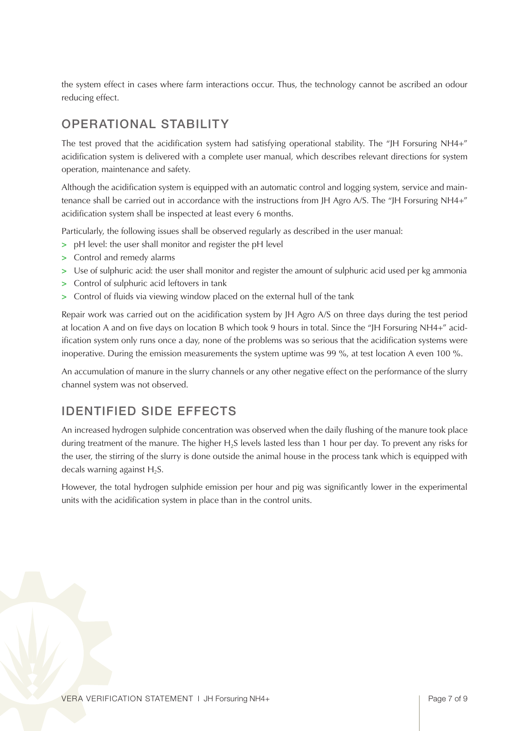the system effect in cases where farm interactions occur. Thus, the technology cannot be ascribed an odour reducing effect.

### Operational Stability

The test proved that the acidification system had satisfying operational stability. The "JH Forsuring NH4+" acidification system is delivered with a complete user manual, which describes relevant directions for system operation, maintenance and safety.

Although the acidification system is equipped with an automatic control and logging system, service and maintenance shall be carried out in accordance with the instructions from JH Agro A/S. The "JH Forsuring NH4+" acidification system shall be inspected at least every 6 months.

Particularly, the following issues shall be observed regularly as described in the user manual:

- **>** pH level: the user shall monitor and register the pH level
- **>** Control and remedy alarms
- **>** Use of sulphuric acid: the user shall monitor and register the amount of sulphuric acid used per kg ammonia
- **>** Control of sulphuric acid leftovers in tank
- **>** Control of fluids via viewing window placed on the external hull of the tank

Repair work was carried out on the acidification system by JH Agro A/S on three days during the test period at location A and on five days on location B which took 9 hours in total. Since the "JH Forsuring NH4+" acidification system only runs once a day, none of the problems was so serious that the acidification systems were inoperative. During the emission measurements the system uptime was 99 %, at test location A even 100 %.

An accumulation of manure in the slurry channels or any other negative effect on the performance of the slurry channel system was not observed.

### Identified Side Effects

An increased hydrogen sulphide concentration was observed when the daily flushing of the manure took place during treatment of the manure. The higher H<sub>2</sub>S levels lasted less than 1 hour per day. To prevent any risks for the user, the stirring of the slurry is done outside the animal house in the process tank which is equipped with decals warning against  $H_2S$ .

However, the total hydrogen sulphide emission per hour and pig was significantly lower in the experimental units with the acidification system in place than in the control units.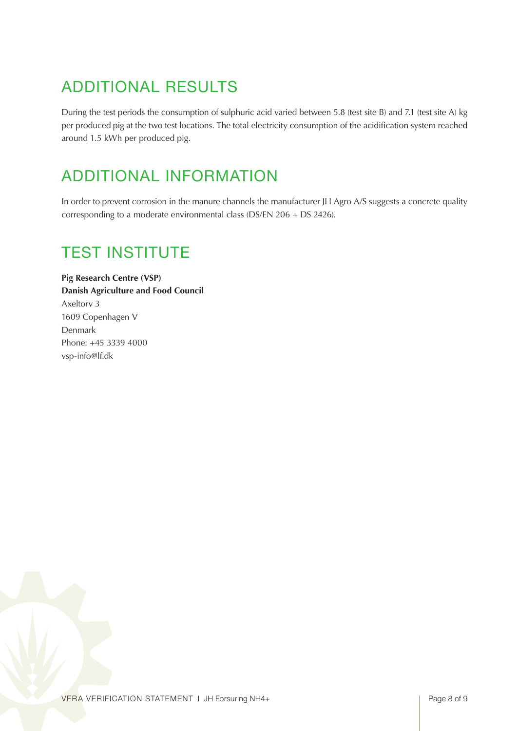## Additional Results

During the test periods the consumption of sulphuric acid varied between 5.8 (test site B) and 7.1 (test site A) kg per produced pig at the two test locations. The total electricity consumption of the acidification system reached around 1.5 kWh per produced pig.

### Additional Information

In order to prevent corrosion in the manure channels the manufacturer JH Agro A/S suggests a concrete quality corresponding to a moderate environmental class (DS/EN 206 + DS 2426).

### Test Institute

**Pig Research Centre (VSP) Danish Agriculture and Food Council** Axeltorv 3 1609 Copenhagen V Denmark Phone: +45 3339 4000 vsp-info@lf.dk